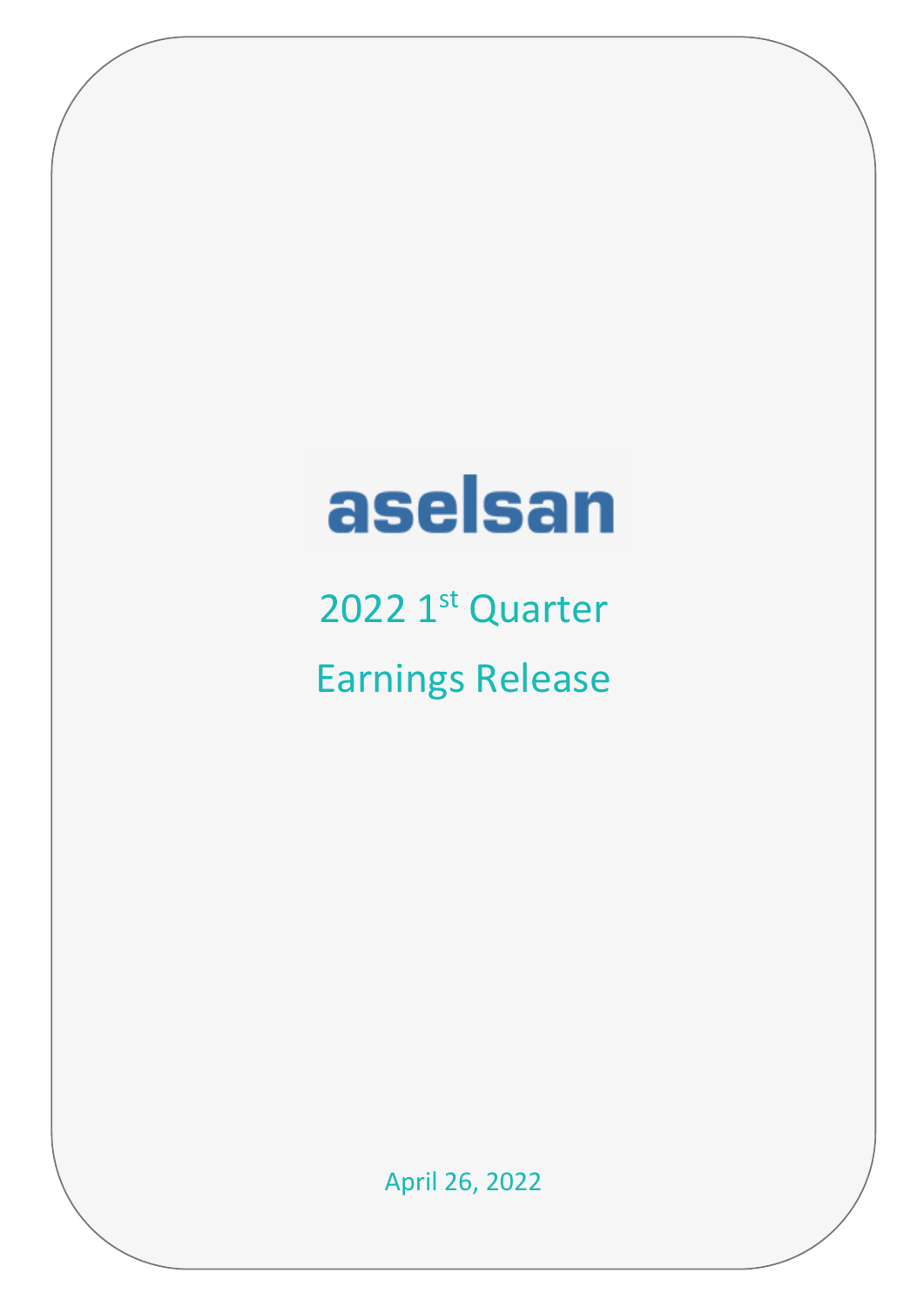# aselsan

2022 1st Quarter Earnings Release

April 26, 2022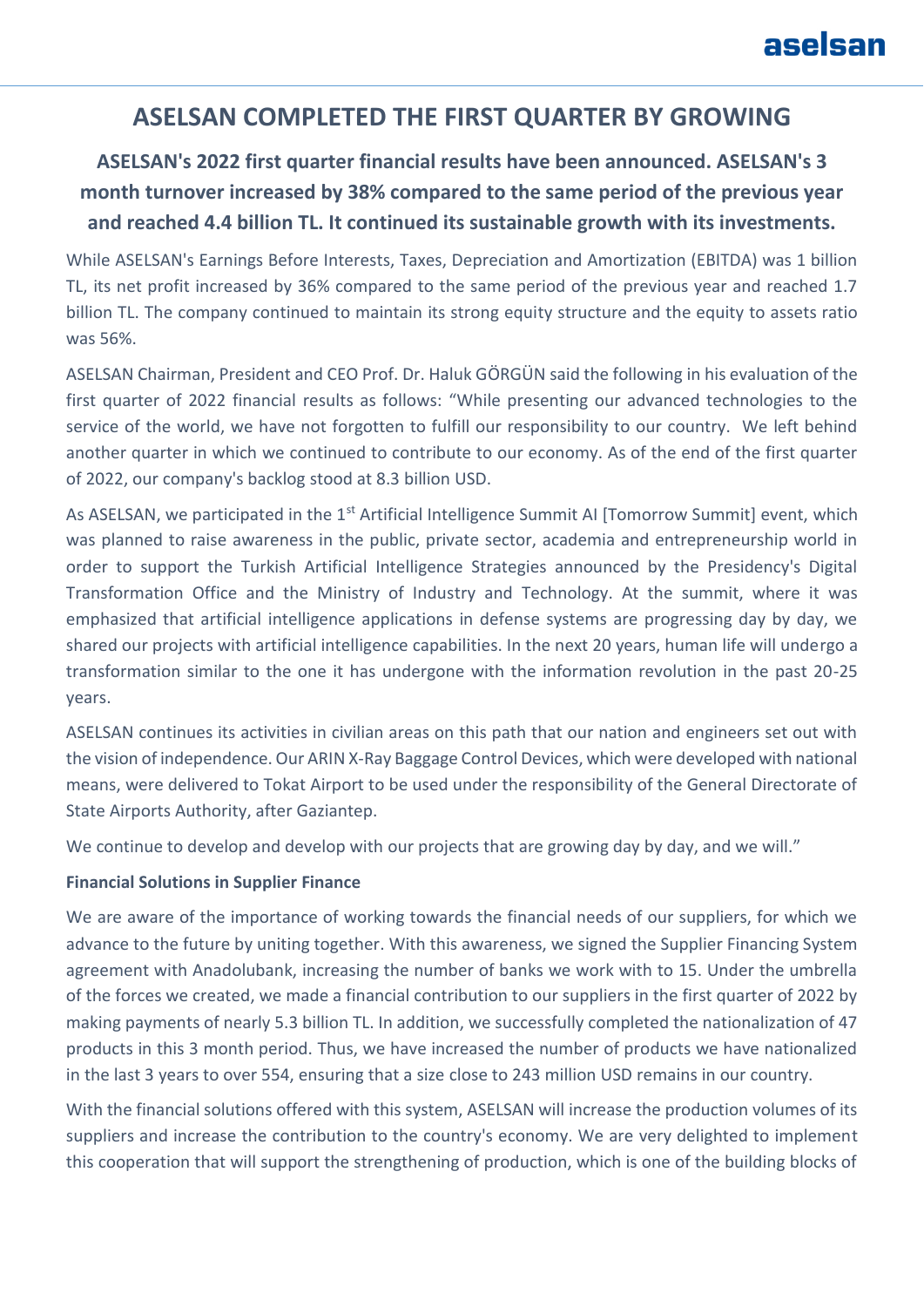# **ASELSAN COMPLETED THE FIRST QUARTER BY GROWING**

# **ASELSAN's 2022 first quarter financial results have been announced. ASELSAN's 3 month turnover increased by 38% compared to the same period of the previous year and reached 4.4 billion TL. It continued its sustainable growth with its investments.**

While ASELSAN's Earnings Before Interests, Taxes, Depreciation and Amortization (EBITDA) was 1 billion TL, its net profit increased by 36% compared to the same period of the previous year and reached 1.7 billion TL. The company continued to maintain its strong equity structure and the equity to assets ratio was 56%.

ASELSAN Chairman, President and CEO Prof. Dr. Haluk GÖRGÜN said the following in his evaluation of the first quarter of 2022 financial results as follows: "While presenting our advanced technologies to the service of the world, we have not forgotten to fulfill our responsibility to our country. We left behind another quarter in which we continued to contribute to our economy. As of the end of the first quarter of 2022, our company's backlog stood at 8.3 billion USD.

As ASELSAN, we participated in the 1<sup>st</sup> Artificial Intelligence Summit AI [Tomorrow Summit] event, which was planned to raise awareness in the public, private sector, academia and entrepreneurship world in order to support the Turkish Artificial Intelligence Strategies announced by the Presidency's Digital Transformation Office and the Ministry of Industry and Technology. At the summit, where it was emphasized that artificial intelligence applications in defense systems are progressing day by day, we shared our projects with artificial intelligence capabilities. In the next 20 years, human life will undergo a transformation similar to the one it has undergone with the information revolution in the past 20-25 years.

ASELSAN continues its activities in civilian areas on this path that our nation and engineers set out with the vision of independence. Our ARIN X-Ray Baggage Control Devices, which were developed with national means, were delivered to Tokat Airport to be used under the responsibility of the General Directorate of State Airports Authority, after Gaziantep.

We continue to develop and develop with our projects that are growing day by day, and we will."

#### **Financial Solutions in Supplier Finance**

We are aware of the importance of working towards the financial needs of our suppliers, for which we advance to the future by uniting together. With this awareness, we signed the Supplier Financing System agreement with Anadolubank, increasing the number of banks we work with to 15. Under the umbrella of the forces we created, we made a financial contribution to our suppliers in the first quarter of 2022 by making payments of nearly 5.3 billion TL. In addition, we successfully completed the nationalization of 47 products in this 3 month period. Thus, we have increased the number of products we have nationalized in the last 3 years to over 554, ensuring that a size close to 243 million USD remains in our country.

With the financial solutions offered with this system, ASELSAN will increase the production volumes of its suppliers and increase the contribution to the country's economy. We are very delighted to implement this cooperation that will support the strengthening of production, which is one of the building blocks of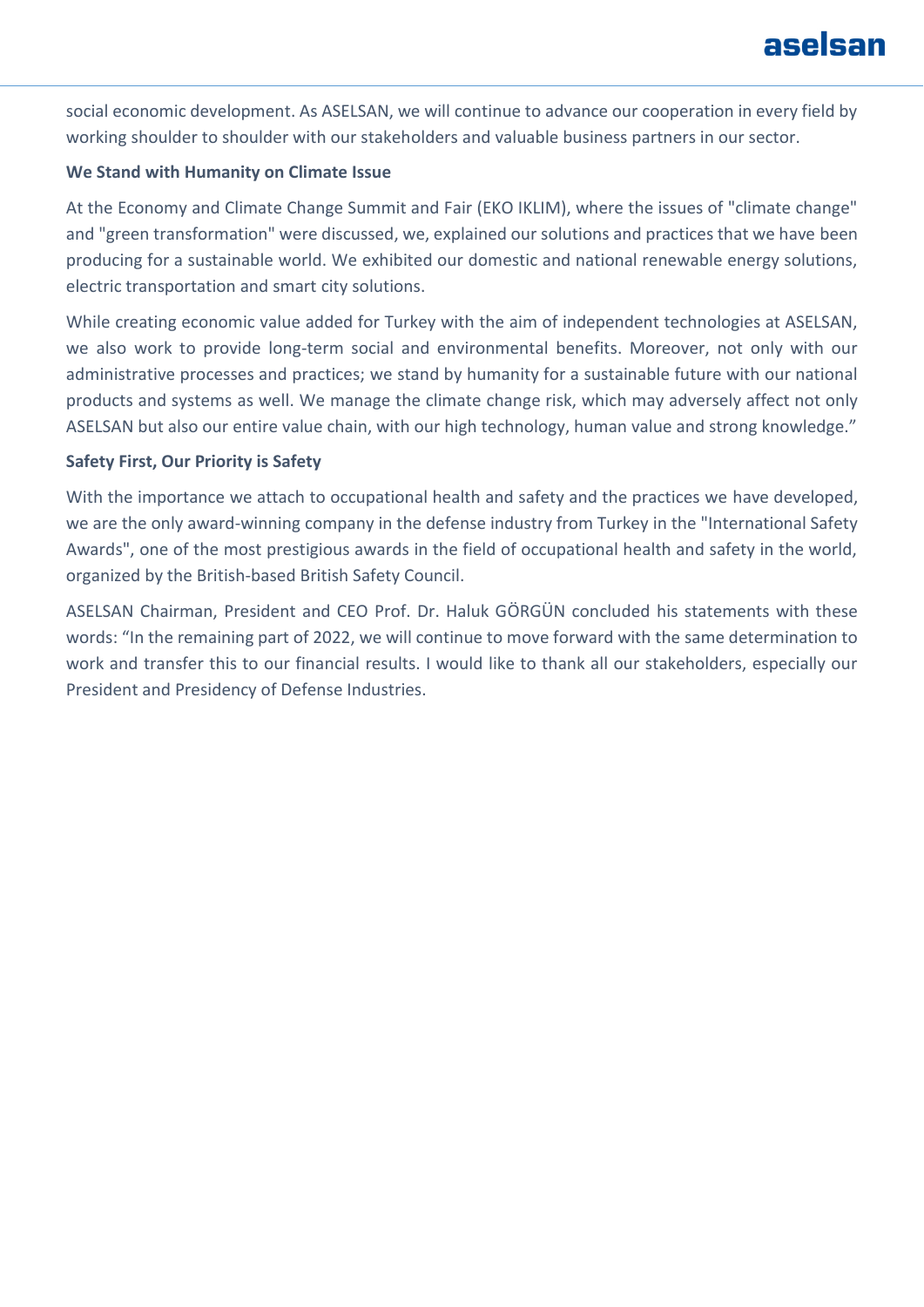# aselsan

social economic development. As ASELSAN, we will continue to advance our cooperation in every field by working shoulder to shoulder with our stakeholders and valuable business partners in our sector.

#### **We Stand with Humanity on Climate Issue**

At the Economy and Climate Change Summit and Fair (EKO IKLIM), where the issues of "climate change" and "green transformation" were discussed, we, explained our solutions and practices that we have been producing for a sustainable world. We exhibited our domestic and national renewable energy solutions, electric transportation and smart city solutions.

While creating economic value added for Turkey with the aim of independent technologies at ASELSAN, we also work to provide long-term social and environmental benefits. Moreover, not only with our administrative processes and practices; we stand by humanity for a sustainable future with our national products and systems as well. We manage the climate change risk, which may adversely affect not only ASELSAN but also our entire value chain, with our high technology, human value and strong knowledge."

#### **Safety First, Our Priority is Safety**

With the importance we attach to occupational health and safety and the practices we have developed, we are the only award-winning company in the defense industry from Turkey in the "International Safety Awards", one of the most prestigious awards in the field of occupational health and safety in the world, organized by the British-based British Safety Council.

ASELSAN Chairman, President and CEO Prof. Dr. Haluk GÖRGÜN concluded his statements with these words: "In the remaining part of 2022, we will continue to move forward with the same determination to work and transfer this to our financial results. I would like to thank all our stakeholders, especially our President and Presidency of Defense Industries.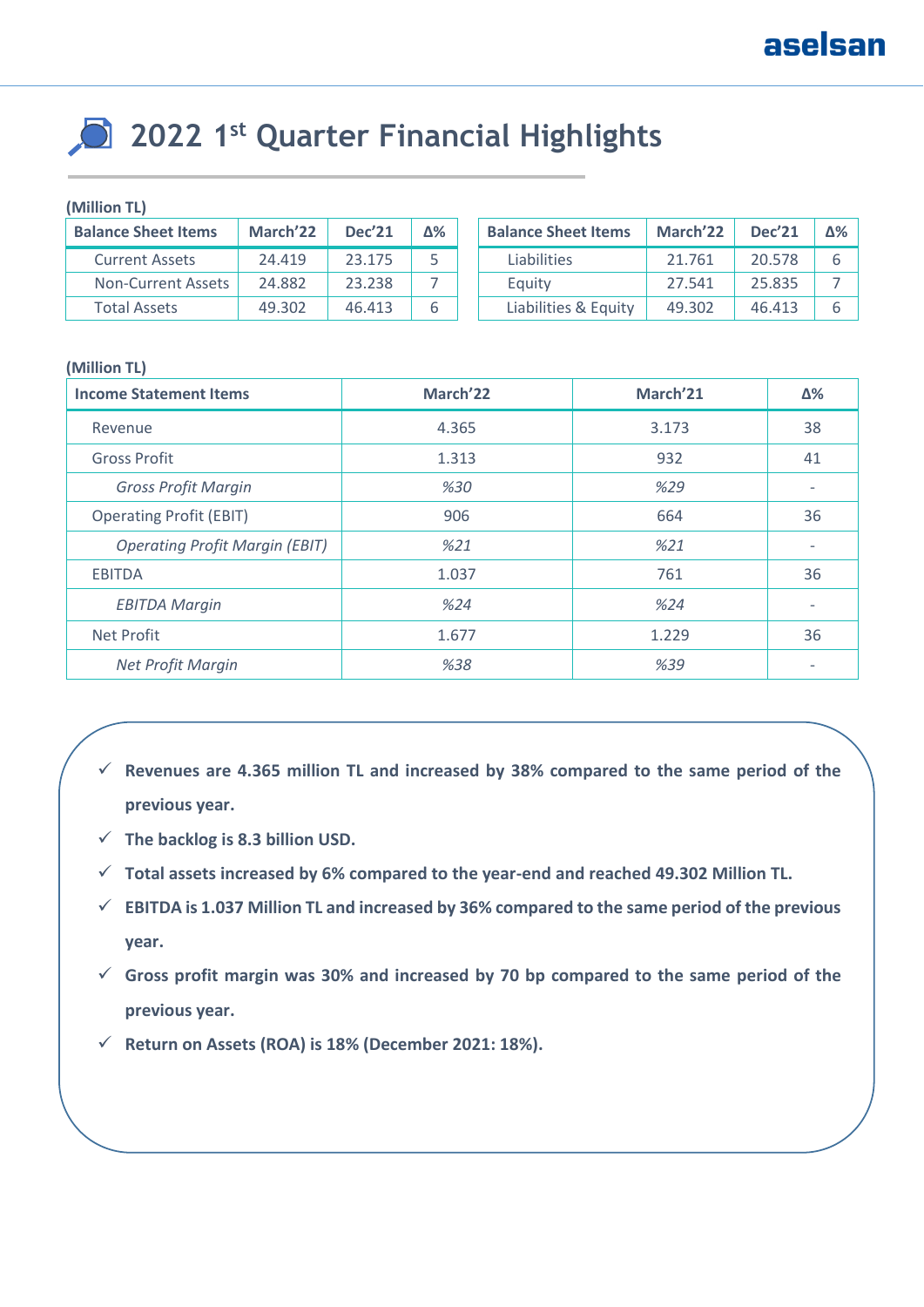# **2022 1st Quarter Financial Highlights**

#### **(Million TL)**

| <b>Balance Sheet Items</b> | March <sup>'22</sup> | <b>Dec'21</b> | Δ% | <b>Balance Sheet Items</b> | March <sup>'22</sup> | <b>Dec'21</b> | Δ% |
|----------------------------|----------------------|---------------|----|----------------------------|----------------------|---------------|----|
| <b>Current Assets</b>      | 24.419               | 23.175        |    | Liabilities                | 21.761               | 20.578        |    |
| Non-Current Assets         | 24.882               | 23.238        |    | Equity                     | 27.541               | 25.835        |    |
| Total Assets               | 49.302               | 46.413        |    | Liabilities & Equity       | 49.302               | 46.413        |    |

#### **(Million TL)**

| <b>Income Statement Items</b>         | March <sup>'22</sup> | March <sup>'21</sup> | Δ%                       |
|---------------------------------------|----------------------|----------------------|--------------------------|
| Revenue                               | 4.365                | 3.173                | 38                       |
| <b>Gross Profit</b>                   | 1.313                | 932                  | 41                       |
| <b>Gross Profit Margin</b>            | %30                  | %29                  |                          |
| <b>Operating Profit (EBIT)</b>        | 906                  | 664                  | 36                       |
| <b>Operating Profit Margin (EBIT)</b> | %21                  | %21                  |                          |
| <b>EBITDA</b>                         | 1.037                | 761                  | 36                       |
| <b>EBITDA Margin</b>                  | %24                  | %24                  | $\overline{\phantom{a}}$ |
| <b>Net Profit</b>                     | 1.677                | 1.229                | 36                       |
| Net Profit Margin                     | %38                  | %39                  | ٠                        |

- ✓ **Revenues are 4.365 million TL and increased by 38% compared to the same period of the previous year.**
- ✓ **The backlog is 8.3 billion USD.**
- ✓ **Total assets increased by 6% compared to the year-end and reached 49.302 Million TL.**
- ✓ **EBITDA is 1.037 Million TL and increased by 36% compared to the same period of the previous year.**
- ✓ **Gross profit margin was 30% and increased by 70 bp compared to the same period of the previous year.**
- ✓ **Return on Assets (ROA) is 18% (December 2021: 18%).**